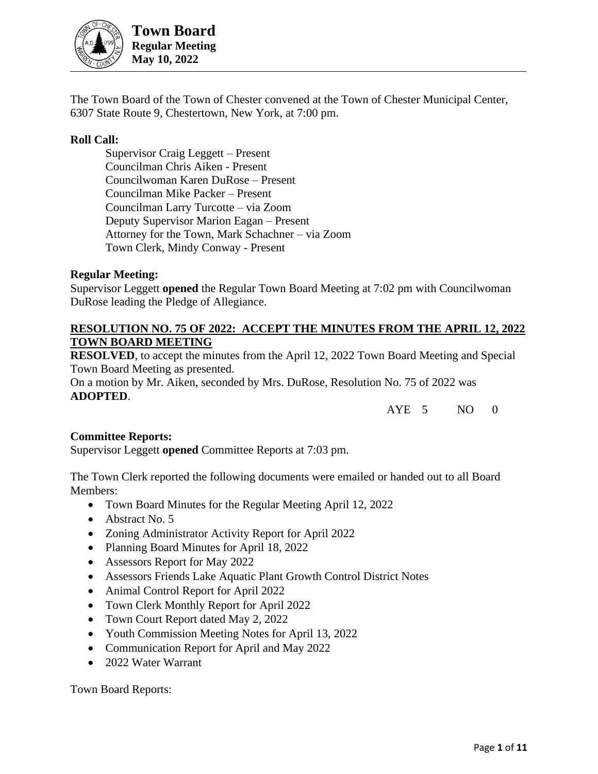

**Town Board Regular Meeting May 10, 2022**

The Town Board of the Town of Chester convened at the Town of Chester Municipal Center, 6307 State Route 9, Chestertown, New York, at 7:00 pm.

## **Roll Call:**

Supervisor Craig Leggett – Present Councilman Chris Aiken - Present Councilwoman Karen DuRose – Present Councilman Mike Packer – Present Councilman Larry Turcotte – via Zoom Deputy Supervisor Marion Eagan – Present Attorney for the Town, Mark Schachner – via Zoom Town Clerk, Mindy Conway - Present

#### **Regular Meeting:**

Supervisor Leggett **opened** the Regular Town Board Meeting at 7:02 pm with Councilwoman DuRose leading the Pledge of Allegiance.

### **RESOLUTION NO. 75 OF 2022: ACCEPT THE MINUTES FROM THE APRIL 12, 2022 TOWN BOARD MEETING**

**RESOLVED**, to accept the minutes from the April 12, 2022 Town Board Meeting and Special Town Board Meeting as presented.

On a motion by Mr. Aiken, seconded by Mrs. DuRose, Resolution No. 75 of 2022 was **ADOPTED**.

AYE 5 NO 0

#### **Committee Reports:**

Supervisor Leggett **opened** Committee Reports at 7:03 pm.

The Town Clerk reported the following documents were emailed or handed out to all Board Members:

- Town Board Minutes for the Regular Meeting April 12, 2022
- Abstract No. 5
- Zoning Administrator Activity Report for April 2022
- Planning Board Minutes for April 18, 2022
- Assessors Report for May 2022
- Assessors Friends Lake Aquatic Plant Growth Control District Notes
- Animal Control Report for April 2022
- Town Clerk Monthly Report for April 2022
- Town Court Report dated May 2, 2022
- Youth Commission Meeting Notes for April 13, 2022
- Communication Report for April and May 2022
- 2022 Water Warrant

Town Board Reports: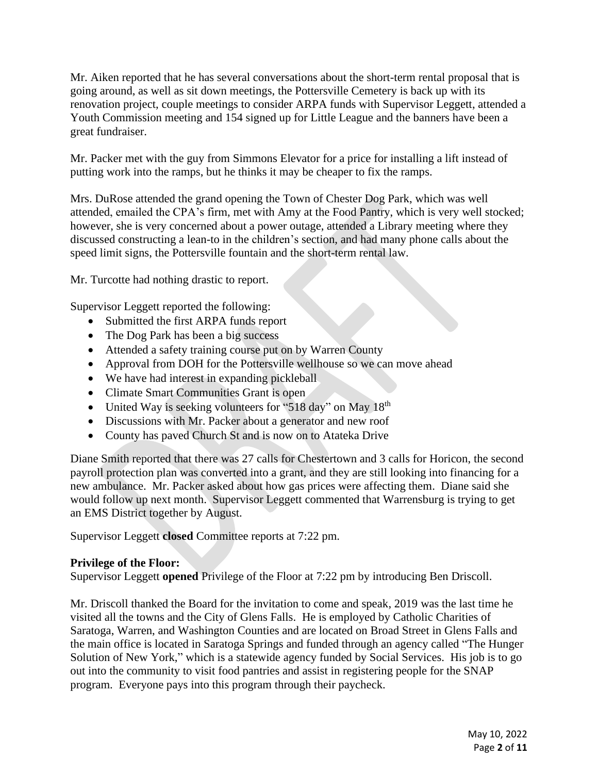Mr. Aiken reported that he has several conversations about the short-term rental proposal that is going around, as well as sit down meetings, the Pottersville Cemetery is back up with its renovation project, couple meetings to consider ARPA funds with Supervisor Leggett, attended a Youth Commission meeting and 154 signed up for Little League and the banners have been a great fundraiser.

Mr. Packer met with the guy from Simmons Elevator for a price for installing a lift instead of putting work into the ramps, but he thinks it may be cheaper to fix the ramps.

Mrs. DuRose attended the grand opening the Town of Chester Dog Park, which was well attended, emailed the CPA's firm, met with Amy at the Food Pantry, which is very well stocked; however, she is very concerned about a power outage, attended a Library meeting where they discussed constructing a lean-to in the children's section, and had many phone calls about the speed limit signs, the Pottersville fountain and the short-term rental law.

Mr. Turcotte had nothing drastic to report.

Supervisor Leggett reported the following:

- Submitted the first ARPA funds report
- The Dog Park has been a big success
- Attended a safety training course put on by Warren County
- Approval from DOH for the Pottersville wellhouse so we can move ahead
- We have had interest in expanding pickleball
- Climate Smart Communities Grant is open
- United Way is seeking volunteers for "518 day" on May 18<sup>th</sup>
- Discussions with Mr. Packer about a generator and new roof
- County has paved Church St and is now on to Atateka Drive

Diane Smith reported that there was 27 calls for Chestertown and 3 calls for Horicon, the second payroll protection plan was converted into a grant, and they are still looking into financing for a new ambulance. Mr. Packer asked about how gas prices were affecting them. Diane said she would follow up next month. Supervisor Leggett commented that Warrensburg is trying to get an EMS District together by August.

Supervisor Leggett **closed** Committee reports at 7:22 pm.

#### **Privilege of the Floor:**

Supervisor Leggett **opened** Privilege of the Floor at 7:22 pm by introducing Ben Driscoll.

Mr. Driscoll thanked the Board for the invitation to come and speak, 2019 was the last time he visited all the towns and the City of Glens Falls. He is employed by Catholic Charities of Saratoga, Warren, and Washington Counties and are located on Broad Street in Glens Falls and the main office is located in Saratoga Springs and funded through an agency called "The Hunger Solution of New York," which is a statewide agency funded by Social Services. His job is to go out into the community to visit food pantries and assist in registering people for the SNAP program. Everyone pays into this program through their paycheck.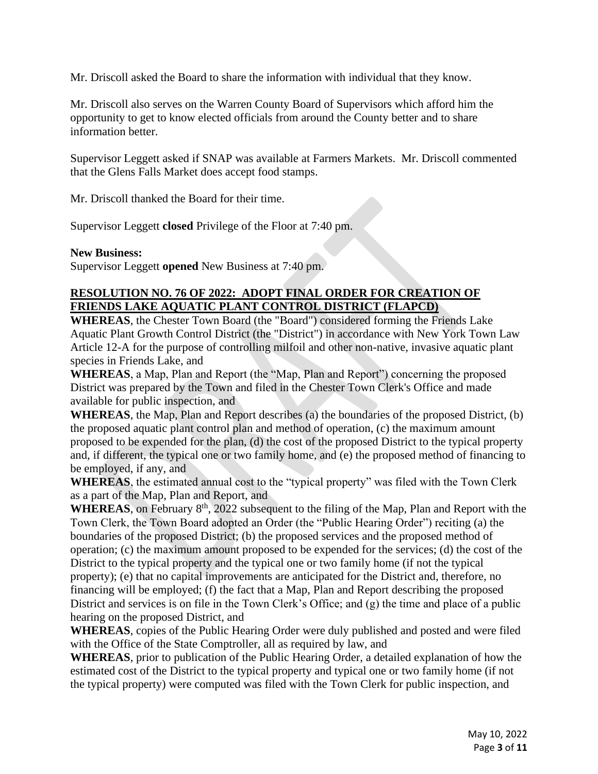Mr. Driscoll asked the Board to share the information with individual that they know.

Mr. Driscoll also serves on the Warren County Board of Supervisors which afford him the opportunity to get to know elected officials from around the County better and to share information better.

Supervisor Leggett asked if SNAP was available at Farmers Markets. Mr. Driscoll commented that the Glens Falls Market does accept food stamps.

Mr. Driscoll thanked the Board for their time.

Supervisor Leggett **closed** Privilege of the Floor at 7:40 pm.

#### **New Business:**

Supervisor Leggett **opened** New Business at 7:40 pm.

# **RESOLUTION NO. 76 OF 2022: ADOPT FINAL ORDER FOR CREATION OF FRIENDS LAKE AQUATIC PLANT CONTROL DISTRICT (FLAPCD)**

**WHEREAS**, the Chester Town Board (the "Board") considered forming the Friends Lake Aquatic Plant Growth Control District (the "District") in accordance with New York Town Law Article 12-A for the purpose of controlling milfoil and other non-native, invasive aquatic plant species in Friends Lake, and

**WHEREAS**, a Map, Plan and Report (the "Map, Plan and Report") concerning the proposed District was prepared by the Town and filed in the Chester Town Clerk's Office and made available for public inspection, and

**WHEREAS**, the Map, Plan and Report describes (a) the boundaries of the proposed District, (b) the proposed aquatic plant control plan and method of operation, (c) the maximum amount proposed to be expended for the plan, (d) the cost of the proposed District to the typical property and, if different, the typical one or two family home, and (e) the proposed method of financing to be employed, if any, and

**WHEREAS**, the estimated annual cost to the "typical property" was filed with the Town Clerk as a part of the Map, Plan and Report, and

WHEREAS, on February 8<sup>th</sup>, 2022 subsequent to the filing of the Map, Plan and Report with the Town Clerk, the Town Board adopted an Order (the "Public Hearing Order") reciting (a) the boundaries of the proposed District; (b) the proposed services and the proposed method of operation; (c) the maximum amount proposed to be expended for the services; (d) the cost of the District to the typical property and the typical one or two family home (if not the typical property); (e) that no capital improvements are anticipated for the District and, therefore, no financing will be employed; (f) the fact that a Map, Plan and Report describing the proposed District and services is on file in the Town Clerk's Office; and (g) the time and place of a public hearing on the proposed District, and

**WHEREAS**, copies of the Public Hearing Order were duly published and posted and were filed with the Office of the State Comptroller, all as required by law, and

**WHEREAS**, prior to publication of the Public Hearing Order, a detailed explanation of how the estimated cost of the District to the typical property and typical one or two family home (if not the typical property) were computed was filed with the Town Clerk for public inspection, and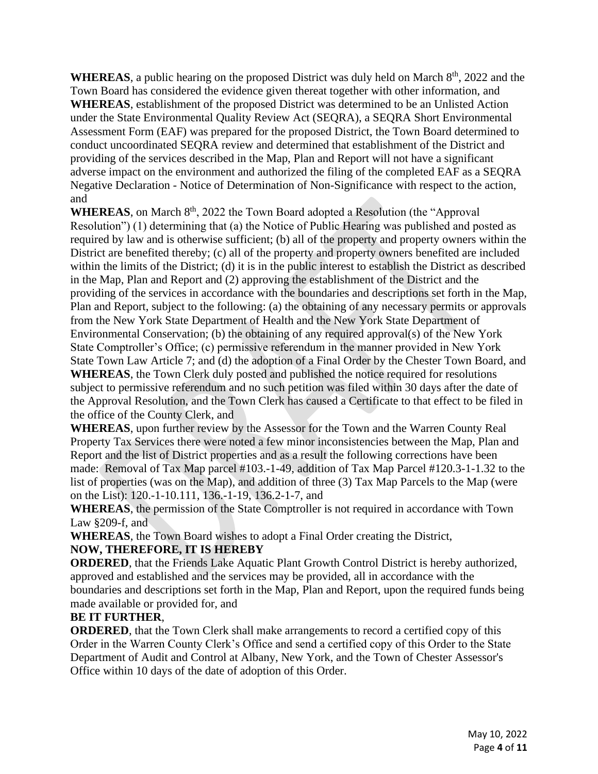**WHEREAS**, a public hearing on the proposed District was duly held on March  $8<sup>th</sup>$ , 2022 and the Town Board has considered the evidence given thereat together with other information, and **WHEREAS**, establishment of the proposed District was determined to be an Unlisted Action under the State Environmental Quality Review Act (SEQRA), a SEQRA Short Environmental Assessment Form (EAF) was prepared for the proposed District, the Town Board determined to conduct uncoordinated SEQRA review and determined that establishment of the District and providing of the services described in the Map, Plan and Report will not have a significant adverse impact on the environment and authorized the filing of the completed EAF as a SEQRA Negative Declaration - Notice of Determination of Non-Significance with respect to the action, and

WHEREAS, on March 8<sup>th</sup>, 2022 the Town Board adopted a Resolution (the "Approval" Resolution") (1) determining that (a) the Notice of Public Hearing was published and posted as required by law and is otherwise sufficient; (b) all of the property and property owners within the District are benefited thereby; (c) all of the property and property owners benefited are included within the limits of the District; (d) it is in the public interest to establish the District as described in the Map, Plan and Report and (2) approving the establishment of the District and the providing of the services in accordance with the boundaries and descriptions set forth in the Map, Plan and Report, subject to the following: (a) the obtaining of any necessary permits or approvals from the New York State Department of Health and the New York State Department of Environmental Conservation; (b) the obtaining of any required approval(s) of the New York State Comptroller's Office; (c) permissive referendum in the manner provided in New York State Town Law Article 7; and (d) the adoption of a Final Order by the Chester Town Board, and

**WHEREAS**, the Town Clerk duly posted and published the notice required for resolutions subject to permissive referendum and no such petition was filed within 30 days after the date of the Approval Resolution, and the Town Clerk has caused a Certificate to that effect to be filed in the office of the County Clerk, and

**WHEREAS**, upon further review by the Assessor for the Town and the Warren County Real Property Tax Services there were noted a few minor inconsistencies between the Map, Plan and Report and the list of District properties and as a result the following corrections have been made: Removal of Tax Map parcel #103.-1-49, addition of Tax Map Parcel #120.3-1-1.32 to the list of properties (was on the Map), and addition of three (3) Tax Map Parcels to the Map (were on the List): 120.-1-10.111, 136.-1-19, 136.2-1-7, and

**WHEREAS**, the permission of the State Comptroller is not required in accordance with Town Law §209-f, and

**WHEREAS**, the Town Board wishes to adopt a Final Order creating the District, **NOW, THEREFORE, IT IS HEREBY**

**ORDERED**, that the Friends Lake Aquatic Plant Growth Control District is hereby authorized, approved and established and the services may be provided, all in accordance with the boundaries and descriptions set forth in the Map, Plan and Report, upon the required funds being made available or provided for, and

# **BE IT FURTHER**,

**ORDERED**, that the Town Clerk shall make arrangements to record a certified copy of this Order in the Warren County Clerk's Office and send a certified copy of this Order to the State Department of Audit and Control at Albany, New York, and the Town of Chester Assessor's Office within 10 days of the date of adoption of this Order.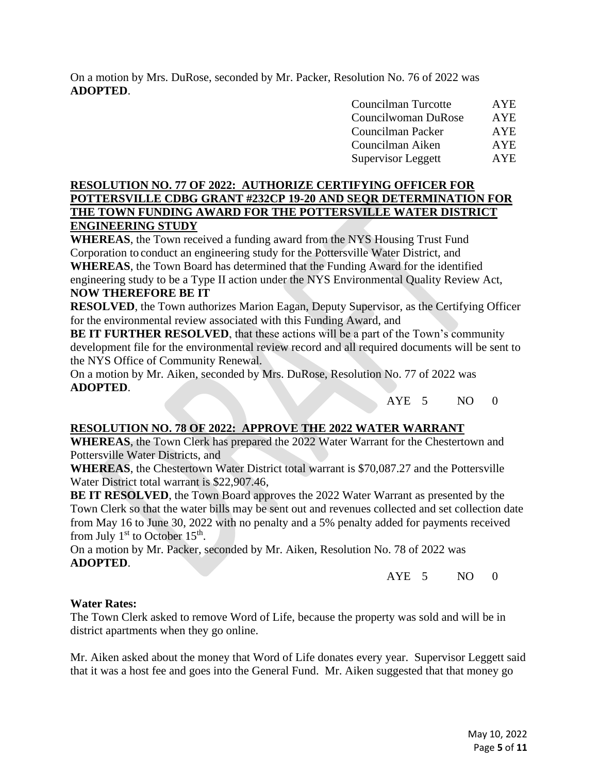On a motion by Mrs. DuRose, seconded by Mr. Packer, Resolution No. 76 of 2022 was **ADOPTED**.

| Councilman Turcotte       | <b>AYE</b> |
|---------------------------|------------|
| Councilwoman DuRose       | <b>AYE</b> |
| Councilman Packer         | <b>AYE</b> |
| Councilman Aiken          | <b>AYE</b> |
| <b>Supervisor Leggett</b> | <b>AYE</b> |

# **RESOLUTION NO. 77 OF 2022: AUTHORIZE CERTIFYING OFFICER FOR POTTERSVILLE CDBG GRANT #232CP 19-20 AND SEQR DETERMINATION FOR THE TOWN FUNDING AWARD FOR THE POTTERSVILLE WATER DISTRICT ENGINEERING STUDY**

**WHEREAS**, the Town received a funding award from the NYS Housing Trust Fund Corporation to conduct an engineering study for the Pottersville Water District, and **WHEREAS**, the Town Board has determined that the Funding Award for the identified engineering study to be a Type II action under the NYS Environmental Quality Review Act, **NOW THEREFORE BE IT**

**RESOLVED**, the Town authorizes Marion Eagan, Deputy Supervisor, as the Certifying Officer for the environmental review associated with this Funding Award, and

**BE IT FURTHER RESOLVED**, that these actions will be a part of the Town's community development file for the environmental review record and all required documents will be sent to the NYS Office of Community Renewal.

On a motion by Mr. Aiken, seconded by Mrs. DuRose, Resolution No. 77 of 2022 was **ADOPTED**.

AYE 5 NO 0

# **RESOLUTION NO. 78 OF 2022: APPROVE THE 2022 WATER WARRANT**

**WHEREAS**, the Town Clerk has prepared the 2022 Water Warrant for the Chestertown and Pottersville Water Districts, and

**WHEREAS**, the Chestertown Water District total warrant is \$70,087.27 and the Pottersville Water District total warrant is \$22,907.46,

**BE IT RESOLVED**, the Town Board approves the 2022 Water Warrant as presented by the Town Clerk so that the water bills may be sent out and revenues collected and set collection date from May 16 to June 30, 2022 with no penalty and a 5% penalty added for payments received from July  $1<sup>st</sup>$  to October  $15<sup>th</sup>$ .

On a motion by Mr. Packer, seconded by Mr. Aiken, Resolution No. 78 of 2022 was **ADOPTED**.

AYE 5 NO 0

#### **Water Rates:**

The Town Clerk asked to remove Word of Life, because the property was sold and will be in district apartments when they go online.

Mr. Aiken asked about the money that Word of Life donates every year. Supervisor Leggett said that it was a host fee and goes into the General Fund. Mr. Aiken suggested that that money go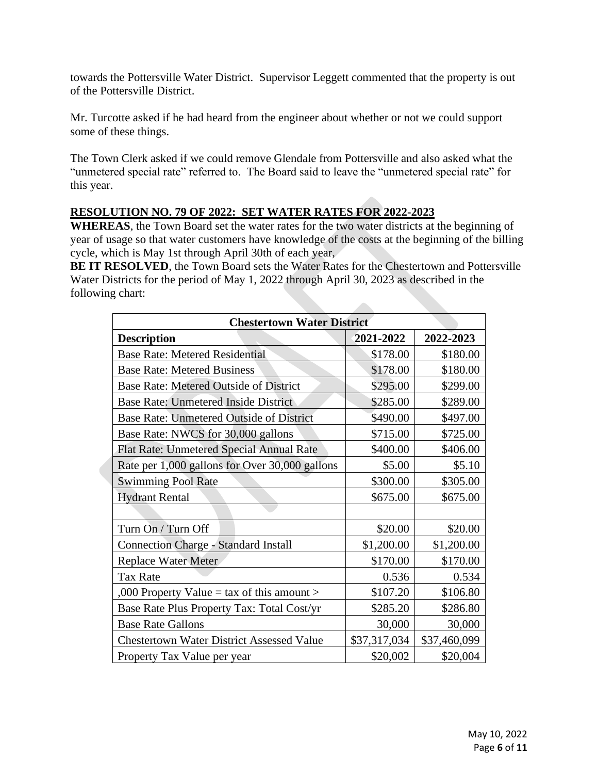towards the Pottersville Water District. Supervisor Leggett commented that the property is out of the Pottersville District.

Mr. Turcotte asked if he had heard from the engineer about whether or not we could support some of these things.

The Town Clerk asked if we could remove Glendale from Pottersville and also asked what the "unmetered special rate" referred to. The Board said to leave the "unmetered special rate" for this year.

# **RESOLUTION NO. 79 OF 2022: SET WATER RATES FOR 2022-2023**

**WHEREAS**, the Town Board set the water rates for the two water districts at the beginning of year of usage so that water customers have knowledge of the costs at the beginning of the billing cycle, which is May 1st through April 30th of each year,

**BE IT RESOLVED**, the Town Board sets the Water Rates for the Chestertown and Pottersville Water Districts for the period of May 1, 2022 through April 30, 2023 as described in the following chart:

| <b>Chestertown Water District</b>                |              |              |  |  |
|--------------------------------------------------|--------------|--------------|--|--|
| <b>Description</b>                               | 2021-2022    | 2022-2023    |  |  |
| <b>Base Rate: Metered Residential</b>            | \$178.00     | \$180.00     |  |  |
| <b>Base Rate: Metered Business</b>               | \$178.00     | \$180.00     |  |  |
| <b>Base Rate: Metered Outside of District</b>    | \$295.00     | \$299.00     |  |  |
| <b>Base Rate: Unmetered Inside District</b>      | \$285.00     | \$289.00     |  |  |
| Base Rate: Unmetered Outside of District         | \$490.00     | \$497.00     |  |  |
| Base Rate: NWCS for 30,000 gallons               | \$715.00     | \$725.00     |  |  |
| Flat Rate: Unmetered Special Annual Rate         | \$400.00     | \$406.00     |  |  |
| Rate per 1,000 gallons for Over 30,000 gallons   | \$5.00       | \$5.10       |  |  |
| <b>Swimming Pool Rate</b>                        | \$300.00     | \$305.00     |  |  |
| <b>Hydrant Rental</b>                            | \$675.00     | \$675.00     |  |  |
|                                                  |              |              |  |  |
| Turn On / Turn Off                               | \$20.00      | \$20.00      |  |  |
| <b>Connection Charge - Standard Install</b>      | \$1,200.00   | \$1,200.00   |  |  |
| <b>Replace Water Meter</b>                       | \$170.00     | \$170.00     |  |  |
| <b>Tax Rate</b>                                  | 0.536        | 0.534        |  |  |
| ,000 Property Value = tax of this amount >       | \$107.20     | \$106.80     |  |  |
| Base Rate Plus Property Tax: Total Cost/yr       | \$285.20     | \$286.80     |  |  |
| <b>Base Rate Gallons</b>                         | 30,000       | 30,000       |  |  |
| <b>Chestertown Water District Assessed Value</b> | \$37,317,034 | \$37,460,099 |  |  |
| Property Tax Value per year                      | \$20,002     | \$20,004     |  |  |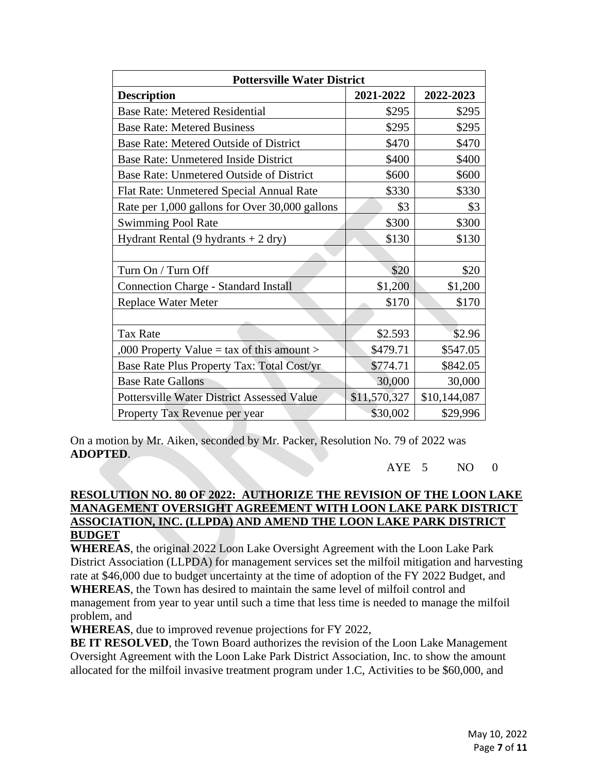| <b>Pottersville Water District</b>                |              |              |  |  |  |
|---------------------------------------------------|--------------|--------------|--|--|--|
| <b>Description</b>                                | 2021-2022    | 2022-2023    |  |  |  |
| <b>Base Rate: Metered Residential</b>             | \$295        | \$295        |  |  |  |
| <b>Base Rate: Metered Business</b>                | \$295        | \$295        |  |  |  |
| Base Rate: Metered Outside of District            | \$470        | \$470        |  |  |  |
| <b>Base Rate: Unmetered Inside District</b>       | \$400        | \$400        |  |  |  |
| Base Rate: Unmetered Outside of District          | \$600        | \$600        |  |  |  |
| Flat Rate: Unmetered Special Annual Rate          | \$330        | \$330        |  |  |  |
| Rate per 1,000 gallons for Over 30,000 gallons    | \$3          | \$3          |  |  |  |
| <b>Swimming Pool Rate</b>                         | \$300        | \$300        |  |  |  |
| Hydrant Rental $(9$ hydrants + 2 dry)             | \$130        | \$130        |  |  |  |
|                                                   |              |              |  |  |  |
| Turn On / Turn Off                                | \$20         | \$20         |  |  |  |
| <b>Connection Charge - Standard Install</b>       | \$1,200      | \$1,200      |  |  |  |
| <b>Replace Water Meter</b>                        | \$170        | \$170        |  |  |  |
|                                                   |              |              |  |  |  |
| <b>Tax Rate</b>                                   | \$2.593      | \$2.96       |  |  |  |
| ,000 Property Value = tax of this amount >        | \$479.71     | \$547.05     |  |  |  |
| Base Rate Plus Property Tax: Total Cost/yr        | \$774.71     | \$842.05     |  |  |  |
| <b>Base Rate Gallons</b>                          | 30,000       | 30,000       |  |  |  |
| <b>Pottersville Water District Assessed Value</b> | \$11,570,327 | \$10,144,087 |  |  |  |
| Property Tax Revenue per year                     | \$30,002     | \$29,996     |  |  |  |

On a motion by Mr. Aiken, seconded by Mr. Packer, Resolution No. 79 of 2022 was **ADOPTED**.

 $AYE$  5 NO 0

# **RESOLUTION NO. 80 OF 2022: AUTHORIZE THE REVISION OF THE LOON LAKE MANAGEMENT OVERSIGHT AGREEMENT WITH LOON LAKE PARK DISTRICT ASSOCIATION, INC. (LLPDA) AND AMEND THE LOON LAKE PARK DISTRICT BUDGET**

**WHEREAS**, the original 2022 Loon Lake Oversight Agreement with the Loon Lake Park District Association (LLPDA) for management services set the milfoil mitigation and harvesting rate at \$46,000 due to budget uncertainty at the time of adoption of the FY 2022 Budget, and **WHEREAS**, the Town has desired to maintain the same level of milfoil control and management from year to year until such a time that less time is needed to manage the milfoil problem, and

**WHEREAS**, due to improved revenue projections for FY 2022,

**BE IT RESOLVED**, the Town Board authorizes the revision of the Loon Lake Management Oversight Agreement with the Loon Lake Park District Association, Inc. to show the amount allocated for the milfoil invasive treatment program under 1.C, Activities to be \$60,000, and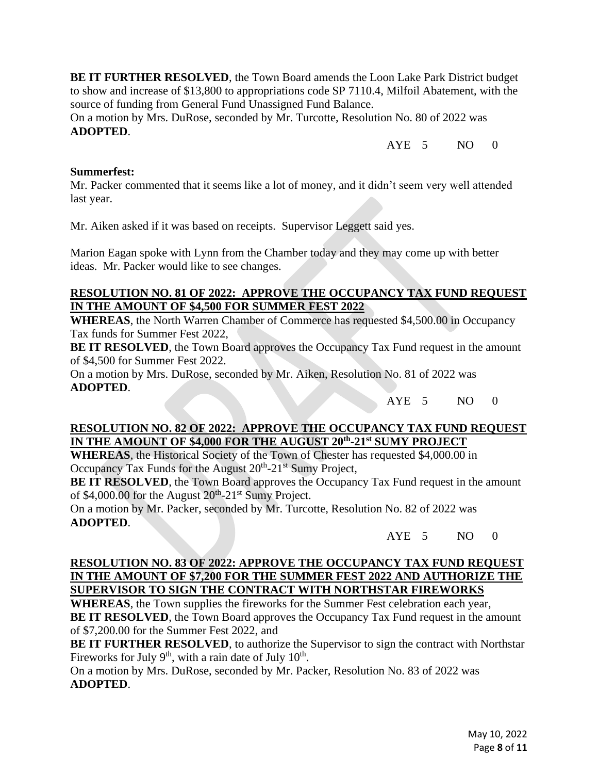**BE IT FURTHER RESOLVED**, the Town Board amends the Loon Lake Park District budget to show and increase of \$13,800 to appropriations code SP 7110.4, Milfoil Abatement, with the source of funding from General Fund Unassigned Fund Balance.

On a motion by Mrs. DuRose, seconded by Mr. Turcotte, Resolution No. 80 of 2022 was **ADOPTED**.

 $AYE$  5 NO 0

#### **Summerfest:**

Mr. Packer commented that it seems like a lot of money, and it didn't seem very well attended last year.

Mr. Aiken asked if it was based on receipts. Supervisor Leggett said yes.

Marion Eagan spoke with Lynn from the Chamber today and they may come up with better ideas. Mr. Packer would like to see changes.

## **RESOLUTION NO. 81 OF 2022: APPROVE THE OCCUPANCY TAX FUND REQUEST IN THE AMOUNT OF \$4,500 FOR SUMMER FEST 2022**

**WHEREAS**, the North Warren Chamber of Commerce has requested \$4,500.00 in Occupancy Tax funds for Summer Fest 2022,

**BE IT RESOLVED**, the Town Board approves the Occupancy Tax Fund request in the amount of \$4,500 for Summer Fest 2022.

On a motion by Mrs. DuRose, seconded by Mr. Aiken, Resolution No. 81 of 2022 was **ADOPTED**.

AYE 5 NO 0

# **RESOLUTION NO. 82 OF 2022: APPROVE THE OCCUPANCY TAX FUND REQUEST IN THE AMOUNT OF \$4,000 FOR THE AUGUST 20th -21st SUMY PROJECT**

**WHEREAS**, the Historical Society of the Town of Chester has requested \$4,000.00 in Occupancy Tax Funds for the August 20<sup>th</sup>-21<sup>st</sup> Sumy Project,

**BE IT RESOLVED**, the Town Board approves the Occupancy Tax Fund request in the amount of \$4,000.00 for the August  $20^{th}$ - $21^{st}$  Sumy Project.

On a motion by Mr. Packer, seconded by Mr. Turcotte, Resolution No. 82 of 2022 was **ADOPTED**.

AYE 5 NO 0

### **RESOLUTION NO. 83 OF 2022: APPROVE THE OCCUPANCY TAX FUND REQUEST IN THE AMOUNT OF \$7,200 FOR THE SUMMER FEST 2022 AND AUTHORIZE THE SUPERVISOR TO SIGN THE CONTRACT WITH NORTHSTAR FIREWORKS**

**WHEREAS**, the Town supplies the fireworks for the Summer Fest celebration each year, **BE IT RESOLVED**, the Town Board approves the Occupancy Tax Fund request in the amount of \$7,200.00 for the Summer Fest 2022, and

**BE IT FURTHER RESOLVED**, to authorize the Supervisor to sign the contract with Northstar Fireworks for July  $9<sup>th</sup>$ , with a rain date of July  $10<sup>th</sup>$ .

On a motion by Mrs. DuRose, seconded by Mr. Packer, Resolution No. 83 of 2022 was **ADOPTED**.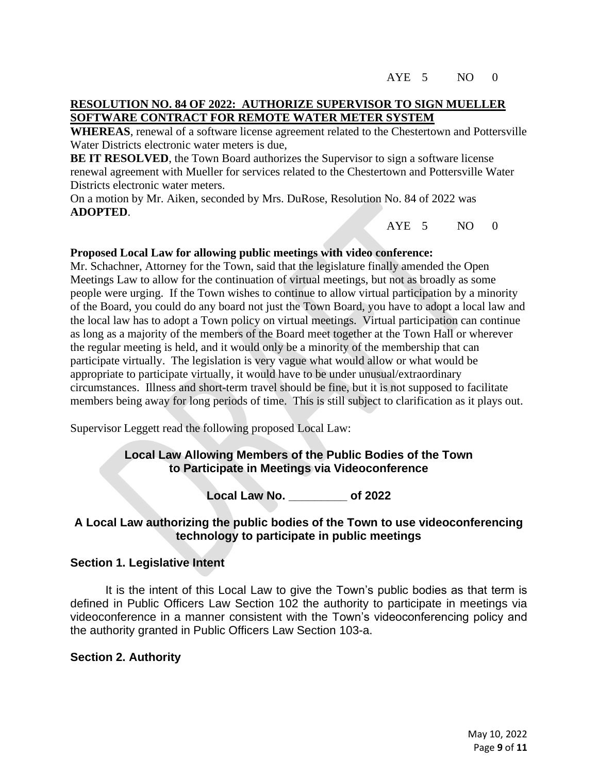### **RESOLUTION NO. 84 OF 2022: AUTHORIZE SUPERVISOR TO SIGN MUELLER SOFTWARE CONTRACT FOR REMOTE WATER METER SYSTEM**

**WHEREAS**, renewal of a software license agreement related to the Chestertown and Pottersville Water Districts electronic water meters is due,

**BE IT RESOLVED**, the Town Board authorizes the Supervisor to sign a software license renewal agreement with Mueller for services related to the Chestertown and Pottersville Water Districts electronic water meters.

On a motion by Mr. Aiken, seconded by Mrs. DuRose, Resolution No. 84 of 2022 was **ADOPTED**.

AYE 5 NO 0

#### **Proposed Local Law for allowing public meetings with video conference:**

Mr. Schachner, Attorney for the Town, said that the legislature finally amended the Open Meetings Law to allow for the continuation of virtual meetings, but not as broadly as some people were urging. If the Town wishes to continue to allow virtual participation by a minority of the Board, you could do any board not just the Town Board, you have to adopt a local law and the local law has to adopt a Town policy on virtual meetings. Virtual participation can continue as long as a majority of the members of the Board meet together at the Town Hall or wherever the regular meeting is held, and it would only be a minority of the membership that can participate virtually. The legislation is very vague what would allow or what would be appropriate to participate virtually, it would have to be under unusual/extraordinary circumstances. Illness and short-term travel should be fine, but it is not supposed to facilitate members being away for long periods of time. This is still subject to clarification as it plays out.

Supervisor Leggett read the following proposed Local Law:

# **Local Law Allowing Members of the Public Bodies of the Town to Participate in Meetings via Videoconference**

**Local Law No. \_\_\_\_\_\_\_\_\_ of 2022**

# **A Local Law authorizing the public bodies of the Town to use videoconferencing technology to participate in public meetings**

#### **Section 1. Legislative Intent**

It is the intent of this Local Law to give the Town's public bodies as that term is defined in Public Officers Law Section 102 the authority to participate in meetings via videoconference in a manner consistent with the Town's videoconferencing policy and the authority granted in Public Officers Law Section 103-a.

#### **Section 2. Authority**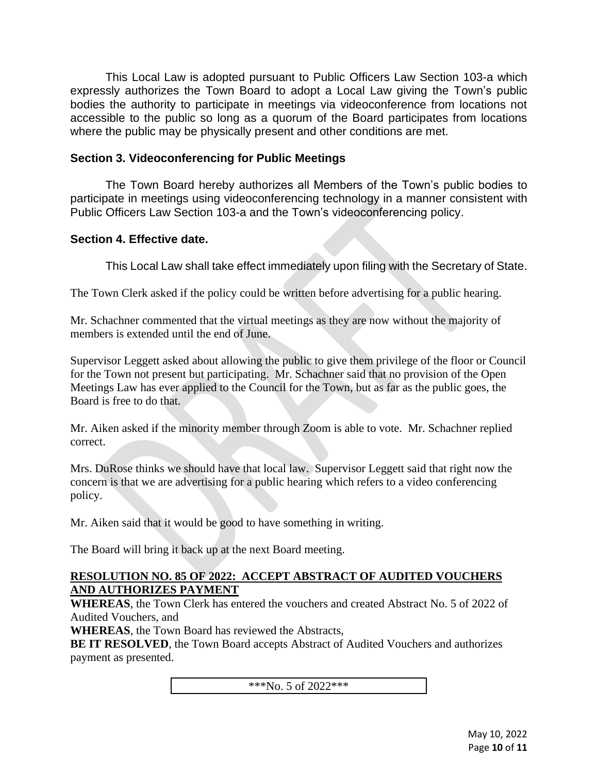This Local Law is adopted pursuant to Public Officers Law Section 103-a which expressly authorizes the Town Board to adopt a Local Law giving the Town's public bodies the authority to participate in meetings via videoconference from locations not accessible to the public so long as a quorum of the Board participates from locations where the public may be physically present and other conditions are met.

# **Section 3. Videoconferencing for Public Meetings**

The Town Board hereby authorizes all Members of the Town's public bodies to participate in meetings using videoconferencing technology in a manner consistent with Public Officers Law Section 103-a and the Town's videoconferencing policy.

# **Section 4. Effective date.**

This Local Law shall take effect immediately upon filing with the Secretary of State.

The Town Clerk asked if the policy could be written before advertising for a public hearing.

Mr. Schachner commented that the virtual meetings as they are now without the majority of members is extended until the end of June.

Supervisor Leggett asked about allowing the public to give them privilege of the floor or Council for the Town not present but participating. Mr. Schachner said that no provision of the Open Meetings Law has ever applied to the Council for the Town, but as far as the public goes, the Board is free to do that.

Mr. Aiken asked if the minority member through Zoom is able to vote. Mr. Schachner replied correct.

Mrs. DuRose thinks we should have that local law. Supervisor Leggett said that right now the concern is that we are advertising for a public hearing which refers to a video conferencing policy.

Mr. Aiken said that it would be good to have something in writing.

The Board will bring it back up at the next Board meeting.

## **RESOLUTION NO. 85 OF 2022: ACCEPT ABSTRACT OF AUDITED VOUCHERS AND AUTHORIZES PAYMENT**

**WHEREAS**, the Town Clerk has entered the vouchers and created Abstract No. 5 of 2022 of Audited Vouchers, and

**WHEREAS**, the Town Board has reviewed the Abstracts,

**BE IT RESOLVED**, the Town Board accepts Abstract of Audited Vouchers and authorizes payment as presented.

\*\*\*No. 5 of 2022\*\*\*